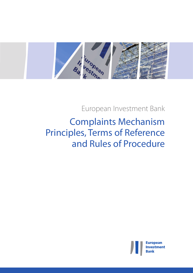

European Investment Bank

# Complaints Mechanism Principles, Terms of Reference and Rules of Procedure

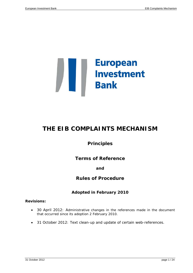

## **THE EIB COMPLAINTS MECHANISM**

**Principles**

**Terms of Reference**

## **and**

## **Rules of Procedure**

## **Adopted in February 2010**

### **Revisions:**

- 30 April 2012: Administrative changes in the references made in the document that occurred since its adoption 2 February 2010.
- <span id="page-2-0"></span>• 31 October 2012: Text clean-up and update of certain web-references.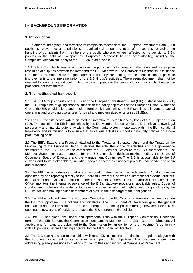## **I – BACKGROUND INFORMATION**

#### <span id="page-4-0"></span>**1. Introduction**

1.1 In order to strengthen and formalise its complaints mechanism, the European Investment Bank (EIB) publishes relevant existing principles, organisational setup and rules of procedures regarding the handling of complaints from members of the public who are, or feel, affected by its decisions. EIB's policies in the field of Transparency, Corporate Responsibility and accountability, including the Complaints Mechanism, apply to the EIB Group as a whole.

1.2 The EIB Complaints Mechanism provides the public with a tool enabling alternative and pre-emptive resolution of disputes between the latter and the EIB. Meanwhile, the Complaints Mechanism assists the EIB, for the common sake of good administration, by contributing to the identification of possible improvements to the implementation of the EIB Group's activities. The present document shall not be deemed to confer any additional rights of access to justice to the persons lodging a complaint under the procedure set forth therein.

#### <span id="page-4-1"></span>**2. The institutional framework**

2.1 The EIB Group consists of the EIB and the European Investment Fund (EIF). Established in 2000, the EIB Group aims at giving financial support to the policy objectives of the European Union. Within the Group, the EIB provides long and medium term bank loans, whilst the EIF specialises in venture capital operations and providing guarantees for small and medium sized enterprises (SMEs).

2.2 The EIB, with its headquarters situated in Luxembourg, is the financing body of the European Union (EU). The capital of the EIB is subscribed by the EU Member States. While the EIB enjoys its own legal personality and financial autonomy within the Community system, it operates within the EU institutional framework and its mission is to ensure that its various activities support Community policies on a nonprofit-making basis.

2.3 The EIB's Statute is a Protocol attached to the Treaty on European Union and the Treaty on the Functioning of the European Union. It defines the role, the scope of activities and the governance structures of the EIB. The Statute establishes the EU Member States as the EIB's shareholders. The Member States nominate members for the EIB's principal decision-making bodies: the Board of Governors, Board of Directors and the Management Committee. The EIB is accountable to the EU citizens and to its stakeholders, including people affected by financed projects, independent of origin and/or location.

2.4 The EIB has an extensive control and accounting structure with an independent Audit Committee appointed by and reporting directly to the Board of Governors, as well as international external auditors, internal audit and evaluation functions under its Inspector General. The EIB Group's Chief Compliance Officer monitors the internal observance of the EIB's statutory provisions, applicable rules, Codes of Conduct and professional standards, to prevent compliance risks that might arise through failures by the EIB, its decision-making bodies or members of staff, in the discharge of their obligations.

2.5 The EIB is policy-driven. The European Council and the EU Council of Ministers frequently call on the EIB to support new EU policies and initiatives. The EIB's Board of Governors gives the general orientations and the EIB's Board of Directors adapts EIB lending policies through new credit directives, opening up new areas of activities to enable the EIB to promote EU policies.

2.6 The EIB has close institutional and operational links with the European Commission. Under the terms of the EIB Statute, the Commission nominates a Member to the EIB's Board of Directors. All applications for loans are submitted to the Commission for an opinion on the investment's conformity with EU policies, before financing approval by the EIB's Board of Directors.

2.7 The EIB also has close relationships with other EU institutions. It maintains a regular dialogue with the European Parliament on its activities in support of EU objectives. This dialogue ranges from addressing plenary sessions to briefings for committees and individual Members of Parliament.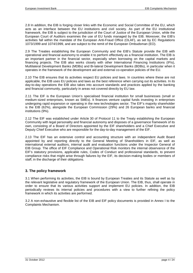2.8 In addition, the EIB is forging closer links with the Economic and Social Committee of the EU, which acts as an interface between the EU institutions and civil society. As part of the EU institutional framework, the EIB is subject to the jurisdiction of the Court of Justice of the European Union, while the European Court of Auditors examines the use of EU funds managed by the EIB. Moreover, the EIB's activities fall within the mandate of the European Anti-Fraud Office (OLAF), as set by EC Regulations 1073/1999 and 1074/1999, and are subject to the remit of the European Ombudsman (EO).

2.9 The Treaties establishing the European Community and the EIB's Statute provide the EIB with operational and financial autonomy to enable it to perform effectively as a financial institution. The EIB is an important partner in the financial sector, especially when borrowing on the capital markets and financing projects. The EIB also works closely with other International Financing Institutions (IFIs), Multilateral Development Banks (MDBs) and Bi-lateral Development Banks (BDBs), in particular when it operates in the framework of the development aid and external co-operation policies of the EU.

2.10 The EIB ensures that its activities respect EU policies and laws. In countries where these are not applicable, the EIB uses EU policies and laws as the best reference when carrying out its activities. In its day-to-day operations the EIB also takes into account standards and practices applied by the banking and financial community, particularly in areas not covered directly by EU law.

2.11 The EIF is the European Union's specialised financial institution for small businesses (small or medium-sized enterprises, known as SMEs). It finances venture capital funds investing in enterprises undergoing rapid expansion or operating in the new technologies sector. The EIF's majority shareholder is the EIB (62%), alongside the European Commission (29%) and 26 European banks and financial institutions (9%).

2.12 The EIF was established under Article 30 of Protocol 11 to the Treaty establishing the European Community with legal personality and financial autonomy and disposes of a governance framework of its own, consisting of a Board of Directors appointed by the EIF shareholders and a Chief Executive and Deputy Chief Executive who are responsible for the day-to-day management of the EIF.

2.13 The EIF has an extensive control and accounting structure with an independent Audit Board appointed by and reporting directly to the General Meeting of Shareholders in EIF, as well as international external auditors, internal audit and evaluation functions under the Inspector General of EIB Group. The office of EIF Compliance and Operational Risk monitors the internal observance of the EIF's statutory provisions, applicable rules, Codes of Conduct and professional standards, to prevent compliance risks that might arise through failures by the EIF, its decision-making bodies or members of staff, in the discharge of their obligations.

#### <span id="page-5-0"></span>**3. The policy framework**

3.1 When performing its activities, the EIB is bound by European Treaties and its Statute as well as by the relevant legislative and regulatory framework of the European Union. The EIB, thus, shall operate in order to ensure that its various activities support and implement EU policies. In addition, the EIB periodically reviews its internal policies and procedures with a view to further refining the policy framework in which its activities are performed.

3.2 A non-exhaustive and flexible list of the EIB and EIF policy documents is provided in Annex I to the Complaints Mechanism.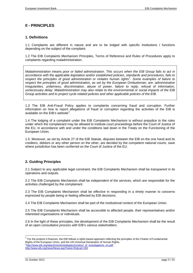## <span id="page-6-0"></span>**II - PRINCIPLES**

#### <span id="page-6-1"></span>**1. Definitions**

1.1 Complaints are different in nature and are to be lodged with specific Institutions / functions depending on the subject of the complaint.

1.2 The EIB Complaints Mechanism Principles, Terms of Reference and Rules of Procedures apply to complaints regarding maladministration.

*Maladministration means poor or failed administration. This occurs when the EIB Group fails to act in accordance with the applicable legislation and/or established policies, standards and procedures, fails to respect the principles of good administration or violates human rights[1](#page-2-0) . Some examples of failure to respect the principles of good administration, as set by the European Ombudsman, are: administrative irregularities, unfairness, discrimination, abuse of power, failure to reply, refusal of information, unnecessary delay*. *Maladministration may also relate to the environmental or social impacts of the EIB Group activities and to project cycle related policies and other applicable policies of the EIB.*

1.3 The EIB Anti-Fraud Policy applies to complaints concerning fraud and corruption. Further information on how to report allegations of fraud or corruption regarding the activities of the EIB is available on the EIB's website<sup>[2](#page-6-3)</sup>.

1.4 The lodging of a complaint under the EIB Complaints Mechanism is without prejudice to the rules under which the complainant may be allowed to institute court proceedings before the Court of Justice of the EU, in accordance with and under the conditions laid down in the Treaty on the Functioning of the European Union.

1.5. Moreover, as set by Article 27 of the EIB Statute, disputes between the EIB on the one hand and its creditors, debtors or any other person on the other, are decided by the competent national courts, save where jurisdiction has been conferred on the Court of Justice of the EU.

#### <span id="page-6-2"></span>**2. Guiding Principles**

2.1 Subject to any applicable legal constraint, the EIB Complaints Mechanism shall be *transparent* in its operations and outputs.

2.2 The EIB Complaints Mechanism shall be *independent* of the services, which are responsible for the activities challenged by the complainant.

2.3 The EIB Complaints Mechanism shall be *effective* in responding in a *timely* manner to concerns expressed by people being or feeling affected by EIB decisions.

2.4 The EIB Complaints Mechanism shall be part of the *institutional* context of the European Union.

2.5 The EIB Complaints Mechanism shall be *accessible* to affected people, their representatives and/or interested organisations or individuals.

2.6 In the light of these principles, the development of the EIB Complaints Mechanism shall be the result of an open *consultative process with* EIB's various stakeholders.

<span id="page-6-4"></span><span id="page-6-3"></span> <sup>1</sup> For the projects it finances, the EIB follows a rights based approach reflecting the principles of the Charter of Fundamental Rights of the European Union, and the UN Universal Declaration of Human Rights. <sup>2</sup>http://www.eib.org/attachments/strategies/conduct\_of\_investigations\_en.pdf; <http://www.eib.org/news/News.asp?news=91&cat=193>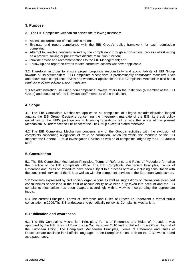## <span id="page-7-0"></span>**3. Purpose**

3.1 The EIB Complaints Mechanism serves the following functions:

- Assess occurrence(s) of maladministration;
- Evaluate and report compliance with the EIB Group's policy framework for each admissible complaint;
- Attempt to*,* resolve concerns raised by the complainant through a consensual process whilst acting as a problem solving or pre-emptive dispute resolution function;
- Provide advice and recommendations to the EIB Management; and
- Follow-up and report on efforts to take corrective actions whenever applicable.

3.2 Therefore, in order to ensure proper corporate responsibility and accountability of EIB Group towards all its stakeholders, EIB Complaints Mechanism is predominantly *compliance focussed*. Over and above such compliance review and whenever applicable the EIB Complaints Mechanism also has a *remit for problem solving and/or mediation*.

3.3 Maladministration, including non-compliance, always refers to the Institution (a member of the EIB Group) and does not refer to individual staff members of the Institution.

#### <span id="page-7-1"></span>**4. Scope**

4.1 The EIB Complaints Mechanism applies to all complaints of alleged maladministration lodged against the EIB Group. Decisions concerning the investment mandate of the EIB, its credit policy guidelines or the EIB's participation in financing operations fall outside the scope of the present Mechanism. All references to EIB concern the EIB Group except if stated otherwise.

4.2 The EIB Complaints Mechanism concerns any of the Group's activities with the exclusion of complaints concerning allegations of fraud or corruption, which fall within the mandate of the EIB Inspectorate General – Fraud Investigation Division as well as of complaints lodged by the EIB Group's staff.

#### <span id="page-7-2"></span>**5. Consultation**

5.1 The EIB Complaints Mechanism Principles, Terms of Reference and Rules of Procedure formalise the practice of the EIB Complaints Office. The EIB Complaints Mechanism Principles, Terms of Reference and Rules of Procedure have been subject to a process of review including consultation with the concerned services of the EIB as well as with the competent services of the European Ombudsman.

5.2 Concerns expressed by civil society organisations as well as suggestions of internationally-reputed consultancies specialised in the field of accountability have been duly taken into account and the EIB complaints mechanism has been adapted accordingly with a view to incorporating the appropriate inputs.

5.3 The current Principles, Terms of Reference and Rules of Procedure underwent a formal public consultation in 2009.The EIB endeavours to periodically review its Complaints Mechanism.

#### <span id="page-7-3"></span>**6. Publication and Awareness**

6.1 The EIB Complaints Mechanism Principles, Terms of Reference and Rules of Procedure was approved by the EIB Board of Directors on 2nd February 2010 and published in the Official Journal of the European Union. The Complaints Mechanism Principles, Terms of Reference and Rules of Procedure are available in all official languages of the European Union, both on the EIB's website and as a paper copy.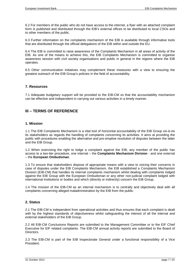6.2 For members of the public who do not have access to the internet, a flyer with an attached complaint form is published and distributed through the EIB's external offices to be distributed to local CSOs and to other members of the public.

6.3 Further information on the complaints mechanism of the EIB is available through informative tools that are distributed through the official delegations of the EIB within and outside the EU.

6.4 The EIB is committed to raise awareness of the Complaints Mechanism in all areas of activity of the EIB. As one of the means to achieve this, the EIB Complaints Mechanism is committed to organise awareness session with civil society organisations and public in general in the regions where the EIB operates.

6.5 Other communication initiatives may complement these measures with a view to ensuring the greatest outreach of the EIB Group's policies in the field of accountability.

#### <span id="page-8-0"></span>**7. Resources**

7.1 Adequate budgetary support will be provided to the EIB-CM so that the accountability mechanism can be effective and independent in carrying out various activities in a timely manner.

#### <span id="page-8-1"></span>**III – TERMS OF REFERENCE**

#### <span id="page-8-2"></span>**1. Mission**

1.1 The EIB Complaints Mechanism is a vital tool of horizontal accountability of the EIB Group vis-à-vis its stakeholders as regards the handling of complaints concerning its activities. It aims at providing the public with procedures enabling the alternative and pre-emptive resolution of disputes between the latter and the EIB Group.

1.2 When exercising the right to lodge a complaint against the EIB, any member of the public has access to a two-tier procedure, one internal – the **Complaints Mechanism Division** - and one external – the **European Ombudsman**.

1.3 To ensure that stakeholders dispose of appropriate means with a view to voicing their concerns in case of disputes under the EIB Complaints Mechanism, the EIB established a Complaints Mechanism Division (EIB-CM) that handles its internal complaints mechanism whilst dealing with complaints lodged against the EIB Group with the European Ombudsman or any other non-judicial complaint lodged with international institutions or bodies and which (directly or indirectly) concern the EIB Group.

1.4 The mission of the EIB-CM as an internal mechanism is to centrally and objectively deal with all complaints concerning alleged maladministration by the EIB from the public.

#### <span id="page-8-3"></span>**2. Status**

2.1 The EIB-CM is independent from operational activities and thus ensures that each complaint is dealt with by the highest standards of objectiveness whilst safeguarding the interest of all the internal and external stakeholders of the EIB Group.

2.2 All EIB-CM Conclusions Reports are submitted to the Management Committee or to the EIF Chief Executive for EIF related complaints. The EIB-CM annual activity reports are submitted to the Board of Directors.

2.3 The EIB-CM is part of the EIB Inspectorate General under a functional responsibility of a Vice President.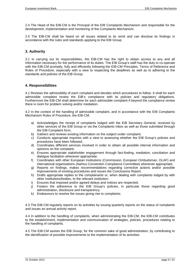2.4 The Head of the EIB-CM is the Principal of the EIB Complaints Mechanism and responsible for the development, implementation and monitoring of the Complaints Mechanism.

2.5 The EIB-CM shall be heard on all issues related to its remit and can disclose its findings in accordance with the rules and standards applying to the EIB Group.

#### <span id="page-9-0"></span>**3. Authority**

3.1 In carrying out its responsibilities, the EIB-CM has the right to obtain access to any and all information necessary for the performance of its duties. The EIB Group's staff has the duty to co-operate with the EIB-CM promptly, fully and efficiently following the EIB-CM Principles, Terms of Reference and Rules of Procedure, especially with a view to respecting the deadlines as well as to adhering to the standards and policies of the EIB Group.

#### <span id="page-9-1"></span>**4. Responsibilities**

4.1 Reviews the admissibility of each complaint and decides which procedures to follow. It shall for each admissible complaint review the EIB's compliance with its policies and regulatory obligations. Furthermore the EIB-CM shall determine for each admissible complaint if beyond the compliance review there is room for problem solving and/or mediation.

4.2 In the context of the handling of admissible complaint, and in accordance with the EIB Complaints Mechanism Rules of Procedure, the EIB-CM:

- a) Acknowledges the receipt of complaints lodged with the EIB Secretary General, received by other services of the EIB Group or via the Complaints Inbox as well as those submitted through the EIB Complaint form;
- b) Gathers and reviews existing information on the subject under complaint;
- c) Conducts appropriate inquiries with a view to assessing whether the EIB Group's policies and procedures have been followed;
- d) Coordinates different services involved in order to obtain all possible internal information and opinions on the complaint;
- e) Ensures appropriate stakeholder engagement through fact-finding, mediation, conciliation and dialogue facilitation whenever appropriate;
- f) Coordinates with other European Institutions (Commission, European Ombudsman, OLAF) and international organisations (Aarhus Convention Compliance Committee) whenever appropriate;
- g) Reports on findings, makes recommendations regarding corrective actions and/or possible improvements of existing procedures and issues the Conclusions Report.
- h) Drafts appropriate replies to the complainants or, when dealing with complaints lodged by with other institutions/bodies, to the relevant institution;
- i) Ensures that imposed and/or agreed delays and notices are respected;
- j) Fosters the adherence to the EIB Group's policies, in particular those regarding good administration, disclosure and transparency;
- k) Endeavours to resolve the issues giving rise to complaints;

4.3 The EIB-CM regularly reports on its activities by issuing quarterly reports on the status of complaints and issues an annual activity report.

4.4 In addition to the handling of complaints, when administrating the EIB-CM, the EIB-CM contributes to the establishment, implementation and communication of strategies, policies, procedures relating to the handling of complaints.

4.5 The EIB-CM assists the EIB Group, for the common sake of good administration, by contributing to the identification of possible improvements to the implementation of its activities.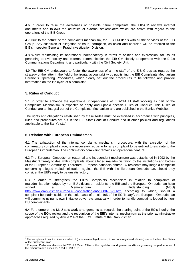4.6 In order to raise the awareness of possible future complaints, the EIB-CM reviews internal documents and follows the activities of external stakeholders which are active with regard to the operations of the EIB Group.

4.7 Due to the nature of the complaints mechanism, the EIB-CM deals with all the services of the EIB Group. Any suspicion or allegation of fraud, corruption, collusion and coercion will be referred to the EIB's Inspector General – Fraud Investigation Division.

4.8 Whilst maintaining its operational independency in terms of opinion and expression, for issues pertaining to civil society and external communication the EIB-CM closely co-operates with the EIB's Communications Department, and particularly with the Civil Society Unit.

4.9 The EIB-CM endeavours to foster the awareness of all the staff of the EIB Group as regards the strategy of the latter in the field of horizontal accountability by publishing the EIB Complaints Mechanism Division's Operating Procedures, which clearly set out the procedures to be followed and provide information on the life cycle of a complaint.

#### <span id="page-10-0"></span>**5. Rules of Conduct**

5.1 In order to enhance the operational independence of EIB-CM all staff working as part of the Complaints Mechanism is expected to apply and uphold specific Rules of Conduct. This Rules of Conduct are an integral part of the Complaints Mechanism and are published in the Bank's Website.

The rights and obligations established by these Rules must be exercised in accordance with principles, rules and procedures set out in the EIB Staff Code of Conduct and in other policies and regulations applicable to the Bank's staff.

#### <span id="page-10-1"></span>**6. Relation with European Ombudsman**

6.1 The exhaustion of the internal complaints mechanism procedure, with the exception of the confirmatory complaint stage, is a necessary requisite for any complaint to be entitled to escalate to the European Ombudsman. The confirmatory complaint remains an operational feature.

6.2 The European Ombudsman (external and independent mechanism) was established in 1992 by the Maastricht Treaty to deal with complaints about alleged maladministration by the institutions and bodies of the European Community. Therefore, European nationals and/or EU residents may lodge a complaint concerning alleged maladministration against the EIB with the European Ombudsman, should they consider the EIB's reply to be unsatisfactory.

6.3 In order to strengthen the EIB's Complaints Mechanism in relation to complaints of maladministration lodged by non-EU citizens or residents, the EIB and the European Ombudsman have signed a Memorandum of Understanding (MoU) <http://www.ombudsman.europa.eu/cooperation/en/20080709-1.htm> according to which, should a complaint be inadmissible on the sole basis of article 195 of the EC Treaty<sup>[3](#page-6-4)</sup>, the European Ombudsman will commit to using its own initiative power systematically in order to handle complaints lodged by non-EU complainants.

6.4 Furthermore, the MoU sets work arrangements as regards the starting point of the EO's inquiry, the scope of the EO's review and the recognition of the EIB's internal mechanism as the prior administrative approaches required by Article 2.[4](#page-10-2) of the EO's Statute of the Ombudsman<sup>4</sup>.

 $3$  The complainant is not a citizen/resident of (or, in case of legal person, it has not a registered office in) one of the Member States of the European Union.<br><sup>4</sup> European Parliament decision 94/262 of 9 March 1994 on the regulations and general conditions governing the performance of

<span id="page-10-3"></span><span id="page-10-2"></span>the Ombudsman's duties, PJ 1994, L 113 p. 15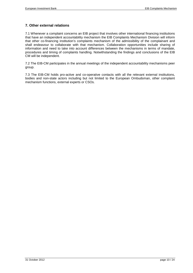## <span id="page-11-0"></span>**7. Other external relations**

7.1 Whenever a complaint concerns an EIB project that involves other international financing institutions that have an independent accountability mechanism the EIB Complaints Mechanism Division will inform that other co-financing institution's complaints mechanism of the admissibility of the complainant and shall endeavour to collaborate with that mechanism. Collaboration opportunities include sharing of information and need to take into account differences between the mechanisms in terms of mandate, procedures and timing of complaints handling. Notwithstanding the findings and conclusions of the EIB CM will be independent.

7.2 The EIB-CM participates in the annual meetings of the independent accountability mechanisms peer group.

7.3 The EIB-CM holds pro-active and co-operative contacts with all the relevant external institutions, bodies and non-state actors including but not limited to the European Ombudsman, other complaint mechanism functions, external experts or CSOs.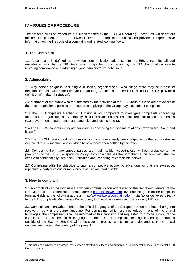## <span id="page-12-0"></span>**IV – RULES OF PROCEDURE**

The present Rules of Procedure are supplemented by the EIB-CM Operating Procedures, which set out the detailed procedures to be followed in terms of complaints handling and provides comprehensive information on the life cycle of a complaint and related working flows.

#### <span id="page-12-1"></span>**1. The Complaint**

1.1 A complaint is defined as a written communication addressed to the EIB, concerning alleged maladministration by the EIB Group which might lead to an action by the EIB Group with a view to restoring compliance and adopting a good administrative behaviour.

#### <span id="page-12-2"></span>**2. Admissibility**

2.1 Any person or group, including civil society organisations<sup>[5](#page-10-3)</sup>, who allege there may be a case of maladministration within the EIB Group, can lodge a complaint. (see II PRINCIPLES, § 1.2, p. 6 for a definition of maladministration).

2.2 Members of the public who feel affected by the activities of the EIB Group but who are not aware of the rules, regulations, policies or procedures applying to the Group may also submit complaints.

2.3 The EIB Complaints Mechanism Division is not competent to investigate complaints concerning International organisations, Community institutions and bodies, national, regional or local authorities (e.g. government departments, state agencies and local councils).

2.4 The EIB CM cannot investigate complaints concerning the working relations between the Group and its staff.

2.5 The EIB CM cannot deal with complaints which have already been lodged with other administrative or judicial review mechanisms or which have already been settled by the latter.

2.6 Complaints from anonymous parties are inadmissible. Nevertheless, without prejudice to the provisions of the EIB's Transparency Policy, a complainant has the right that her/his complaint shall be dealt with confidentially (see also Publication and Reporting of complaints below).

2.7 Complaints with the objective to gain a competitive economic advantage or that are excessive, repetitive, clearly frivolous or malicious in nature are inadmissible.

#### <span id="page-12-3"></span>**3. How to complain**

3.1 A complaint can be lodged via a written communication addressed to the Secretary General of the EIB, via email to the dedicated email address [complaints@eib.org,](mailto:complaints@eib.org) by completing the online complaint form available at the following address: [http://www.eib.org/complaints/form,](http://www.eib.org/complaints/form) via fax or delivered directly to the EIB Complaints Mechanism Division, any EIB local representation office or any EIB staff.

3.2 Complainants can write in one of the official languages of the European Union and have the right to receive a reply in the same language. For complaints, which are not lodged in one of the official languages, the complainant shall be informed of this provision and requested to provide a copy of the complaint in one of the official languages of the EU. For complaints relating to lending operations outside of the EU, the EIB-CM will endeavour to process complaints and documents in the official national language of the country of the project.

<span id="page-12-4"></span> $5$  This includes anybody or any group that is or feels affected by alleged environmental, developmental or social impacts of the EIB Group's activities.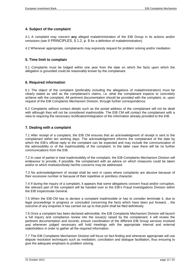#### <span id="page-13-0"></span>**4. Subject of the complaint**

4.1 A complaint may concern **any** alleged maladministration of the EIB Group in its actions and/or omissions (see II PRINCIPLES, § 1.2, p. 6 for a definition of maladministration).

4.2 Whenever appropriate, complainants may expressly request for problem solving and/or mediation.

#### <span id="page-13-1"></span>**5. Time limit to complain**

5.1 Complaints must be lodged within one year from the date on which the facts upon which the allegation is grounded could be reasonably known by the complainant.

#### <span id="page-13-2"></span>**6. Required information**

6.1 The object of the complaint (preferably including the allegations of maladministration) must be clearly stated as well as the complainant's claims, i.e. what the complainant expects to concretely achieve with the complaint. All pertinent documentation should be provided with the complaint, or, upon request of the EIB Complaints Mechanism Division, through further correspondence.

6.2 Complaints without contact details such as the postal address of the complainant will not be dealt with although they will not be considered inadmissible. The EIB CM will contact the complainant with a view to requiring the necessary rectification/integration of the information already provided to the EIB.

#### <span id="page-13-3"></span>**7. Dealing with a complaint**

7.1 After receipt of a complaint, the EIB CM ensures that an acknowledgment of receipt is sent to the complainant within ten working days. The acknowledgement informs the complainant of the date by which the EIB's official reply to the complaint can be expected and may include the communication of the admissibility or of the inadmissibility of the complaint. In the latter case there will be no further communications from the EIB.

7.2 In case of partial or total inadmissibility of the complaint, the EIB Complaints Mechanism Division will endeavour to provide, if possible, the complainant with an advice on which measures could be taken and/or to which institution/body her/his concerns may be addressed.

7.3 No acknowledgement of receipt shall be sent in cases where complaints are abusive because of their excessive number or because of their repetitive or pointless character.

7.4 If during the inquiry of a complaint, it appears that some allegations concern fraud and/or corruption, the relevant part of the complaint will be handed over to the EIB's Fraud Investigations Division within the EIB Inspectorate General.

7.5 When the EIB-CM has to declare a complaint inadmissible or has to consider terminate it, due to legal proceedings in progress or concluded concerning the facts which have been put forward, , the outcome of any enquiries it has carried out up to that point shall be filed definitively.

7.6 Once a complaint has been declared admissible, the EIB Complaints Mechanism Division will launch a full inquiry and compliance review into the issue(s) raised by the complainant; it will review the pertinent documentation and records; ensure coordination of the different EIB Group services involved and whenever judged necessary will hold meetings with the appropriate internal and external stakeholders in order to gather all the required information.

7.7 The EIB Complaints Mechanism Division will focus on fact-finding and whenever appropriate will use dispute resolution techniques such as mediation, conciliation and dialogue facilitation, thus ensuring to give the adequate emphasis to problem solving.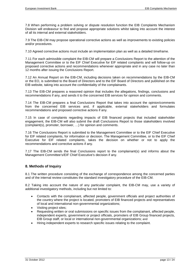7.8 When performing a problem solving or dispute resolution function the EIB Complaints Mechanism Division will endeavour to find and propose appropriate solutions whilst taking into account the interest of all its internal and external stakeholders.

7.9 The EIB-CM may propose operational corrective actions as well as improvements to existing policies and/or procedures.

7.10 Agreed corrective actions must include an implementation plan as well as a detailed timeframe.

7.11 For each admissible complaint the EIB-CM will prepare a Conclusions Report to the attention of the Management Committee or to the EIF Chief Executive for EIF related complaints and will follow-up on proposed corrective actions and recommendations whenever appropriate and in any case no later than 12 months after issuing the Conclusions Report.

7.12 An Annual Report on the EIB-CM, including decisions taken on recommendations by the EIB-CM or the EO, is submitted to the Board of Directors and to the EIF Board of Directors and published on the EIB website, taking into account the confidentiality of the complainants.

7.13 The EIB-CM prepares a reasoned opinion that includes the allegations, findings, conclusions and recommendations if any, and sends it to the concerned EIB services for opinion and comments.

7.14 The EIB-CM prepares a final Conclusions Report that takes into account the opinion/comments from the concerned EIB services and, if applicable, external stakeholders and formulates recommendations and proposed corrective actions if any.

7.15 In case of complaints regarding impacts of EIB financed projects that included stakeholder engagement, the EIB-CM will also submit the draft Conclusions Report to those stakeholders involved (complaint(s), promoter, borrower, …) for opinion and comments.

7.16 The Conclusions Report is submitted to the Management Committee or to the EIF Chief Executive for EIF related complaints, for information or decision. The Management Committee, or to the EIF Chief Executive for EIF related complaints, takes the decision on whether or not to apply the recommendations and corrective actions if any.

7.17 The EIB-CM sends the final Conclusions report to the complainant(s) and informs about the Management Committee's/EIF Chief Executive's decision if any.

#### <span id="page-14-0"></span>**8. Methods of Inquiry**

8.1 The written procedure consisting of the exchange of correspondence among the concerned parties and of the internal review constitutes the standard investigatory procedure of the EIB-CM.

8.2 Taking into account the nature of any particular complaint, the EIB-CM may, use a variety of additional investigatory methods, including but not limited to:

- Contacts with the complainant, affected people, government officials and project authorities of the country where the project is located, promoters of EIB financed projects and representatives of local and international non-governmental organizations;
- Visiting project sites;
- Requesting written or oral submissions on specific issues from the complainant, affected people, independent experts, government or project officials, promoters of EIB Group financed projects, EIB Group staff, or local or international non-governmental organizations; and
- Hiring independent experts to research specific issues relating to the complaint.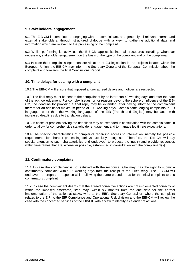#### <span id="page-15-0"></span>**9. Stakeholders' engagement**

9.1 The EIB-CM is committed to engaging with the complainant, and generally all relevant internal and external stakeholders, through structured dialogue with a view to gathering additional data and information which are relevant to the processing of the complaint.

9.2 Whilst performing its activities, the EIB-CM applies its internal procedures including, whenever necessary, stakeholder engagement on the basis of the type of the complaint and of the complainant.

9.3 In case the complaint alleges concern violation of EU legislation in the projects located within the European Union, the EIB-CM may inform the Secretary General of the European Commission about the complaint and forwards the final Conclusions Report.

#### <span id="page-15-1"></span>**10. Time delays for dealing with a complaint**

10.1 The EIB-CM will ensure that imposed and/or agreed delays and notices are respected.

10.2 The final reply must be sent to the complainant by no later than 40 working days and after the date of the acknowledgement. For complex issues, or for reasons beyond the sphere of influence of the EIB-CM, the deadline for providing a final reply may be extended, after having informed the complainant thereof for an additional maximum period of 100 working days. Complainants lodging complaints in EU languages other than the working languages of the EIB (French and English) may be faced with increased deadlines due to translation delays.

10.3 In cases of problem solving the deadlines may be extended in consultation with the complainants in order to allow for comprehensive stakeholder engagement and to manage legitimate expectations.

10.4 The specific characteristics of complaints regarding access to information, namely the possible requirements for shortest processing delays, are fully recognised. Therefore, the EIB-CM will pay special attention to such characteristics and endeavour to process the inquiry and provide responses within timeframes that are, whenever possible, established in consultation with the complainant(s).

#### <span id="page-15-2"></span>**11. Confirmatory complaints**

11.1 In case the complainant is not satisfied with the response, s/he may, has the right to submit a confirmatory complaint within 15 working days from the receipt of the EIB's reply. The EIB-CM will endeavour to prepare a response while following the same procedure as for the initial complaint to this confirmatory complaint.

11.2 In case the complainant deems that the agreed corrective actions are not implemented correctly or within the imposed timeframe, s/he may, within six months from the due date for the correct implementation of the action at stake, write to the EIB's Secretary General or, where the complaint relates to the EIF, to the EIF Compliance and Operational Risk division and the EIB-CM will review the case with the concerned services of the EIB/EIF with a view to identify a calendar of actions.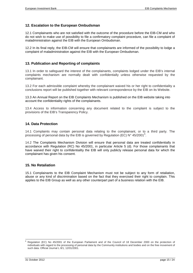#### <span id="page-16-0"></span>**12. Escalation to the European Ombudsman**

12.1 Complainants who are not satisfied with the outcome of the procedure before the EIB-CM and who do not wish to make use of possibility to file a confirmatory complaint procedure, can file a complaint of maladministration against the EIB with the European Ombudsman.

12.2 In its final reply, the EIB-CM will ensure that complainants are informed of the possibility to lodge a complaint of maladministration against the EIB with the European Ombudsman.

#### <span id="page-16-1"></span>**13. Publication and Reporting of complaints**

13.1 In order to safeguard the interest of the complainants, complaints lodged under the EIB's internal complaints mechanism are normally dealt with confidentially unless otherwise requested by the complainant.

13.2 For each admissible complaint whereby the complainant waived his or her right to confidentiality a conclusions report will be published together with relevant correspondence by the EIB on its Website.

13.3 An Annual Report on the EIB Complaints Mechanism is published on the EIB website taking into account the confidentiality rights of the complainants.

13.4 Access to information concerning any document related to the complaint is subject to the provisions of the EIB's Transparency Policy.

#### <span id="page-16-2"></span>**14. Data Protection**

14.1 Complaints may contain personal data relating to the complainant, or to a third party. The processing of personal data by the EIB is governed by Regulation (EC) N° 45/2001<sup>[6](#page-12-4)</sup>.

14.2 The Complaints Mechanism Division will ensure that personal data are treated confidentially in accordance with Regulation (RC) No 45/2001, in particular Article 5 (d). For those complainants that have waived their right to confidentiality the EIB will only publicly release personal data for which the complainant has given his consent.

#### <span id="page-16-3"></span>**15. No Retaliation**

15.1 Complainants to the EIB Complaint Mechanism must not be subject to any form of retaliation, abuse or any kind of discrimination based on the fact that they exercised their right to complain. This applies to the EIB Group as well as any other counterpart part of a business relation with the EIB.

<span id="page-16-4"></span> <sup>6</sup> Regulation (EC) No 45/2001 of the European Parliament and of the Council of 18 December 2000 on the protection of individuals with regard to the processing of personal data by the Community institutions and bodies and on the free movement of such data. Official Journal L 8/1, 12/01/2001.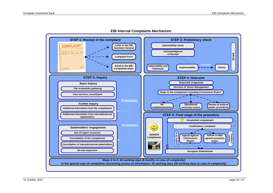

**EIB Internal Complaints Mechanism**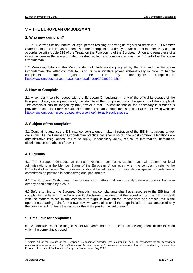## <span id="page-18-0"></span>**V – THE EUROPEAN OMBUDSMAN**

#### <span id="page-18-1"></span>**1. Who may complain?**

1.1 If EU citizens or any natural or legal person residing or having its registered office in a EU Member State feel that the EIB has not dealt with their complaint in a timely and/or correct manner, they can, in accordance with Article 228 of the Treaty on the Functioning of the European Union and regardless of a direct concern in the alleged maladministration, lodge a complaint against the EIB with the European Ombudsman.

1.2 Moreover, following the Memorandum of Understanding signed by the EIB and the European Ombudsman, the latter commits to using its own initiative power systematically in order to handle complaints lodged against the EIB by non-eligible complainants. [http://www.ombudsman.europa.eu/cooperation/en/20080709-1.htm.](http://www.ombudsman.europa.eu/cooperation/en/20080709-1.htm)

#### <span id="page-18-2"></span>**2. How to Complain**

2.1 A complaint can be lodged with the European Ombudsman in any of the official languages of the European Union, setting out clearly the identity of the complainant and the grounds of the complaint. The complaint can be lodged by mail, fax or e-mail. To ensure that all the necessary information is provided, a complaint form is available at the European Ombudsman's office or at the following website: [http://www.ombudsman.europa.eu/atyourservice/interactiveguide.faces.](http://www.ombudsman.europa.eu/atyourservice/interactiveguide.faces)

#### <span id="page-18-3"></span>**3. Subject of the complaint**

3.1 Complaints against the EIB may concern alleged maladministration of the EIB in its actions and/or omissions. As the European Ombudsman practice has shown so far, the most common allegations are administrative irregularities, failure to reply, unnecessary delay, refusal of information, unfairness, discrimination and abuse of power.

#### <span id="page-18-4"></span>**4. Eligibility**

4.1 The European Ombudsman cannot investigate complaints against national, regional or local administrations in the Member States of the European Union, even when the complaints refer to the EIB's field of activities. Such complaints should be addressed to national/local/special ombudsmen or committees on petitions in national/regional parliaments.

4.2 The European Ombudsman cannot deal with matters that are currently before a court or that have already been settled by a court.

4.3 Before turning to the European Ombudsman, complainants shall have recourse to the EIB internal complaints mechanism. The European Ombudsman considers that the record of how the EIB has dealt with the matters raised in the complaint through its own internal mechanism and procedures is the appropriate starting point for his own review. Complaints shall therefore include an explanation of why the complainant contests the record or the EIB's position as set therein<sup>[7](#page-16-4)</sup>.

#### <span id="page-18-5"></span>**5. Time limit for complaints**

5.1 A complaint must be lodged within two years from the date of acknowledgement of the facts on which the complaint is based.

<span id="page-18-6"></span> <sup>7</sup> Article 2.4 of the Statute of the European Ombudsman provides that a complaint must be "*preceded by the appropriate administrative approaches to the institutions and bodies concerned*". See also the Memorandum of Understanding between the European Investment Bank and the European Ombudsman, July 2008.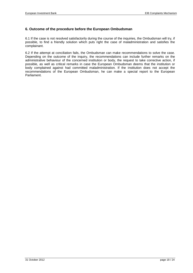#### <span id="page-19-0"></span>**6. Outcome of the procedure before the European Ombudsman**

6.1 If the case is not resolved satisfactorily during the course of the inquiries, the Ombudsman will try, if possible, to find a friendly solution which puts right the case of maladministration and satisfies the complainant.

6.2 If the attempt at conciliation fails, the Ombudsman can make recommendations to solve the case. Depending on the outcome of the inquiry, the recommendations can include further remarks on the administrative behaviour of the concerned institution or body, the request to take corrective action, if possible, as well as critical remarks in case the European Ombudsman deems that the institution or body complained against had committed maladministration. If the institution does not accept the recommendations of the European Ombudsman, he can make a special report to the European Parliament.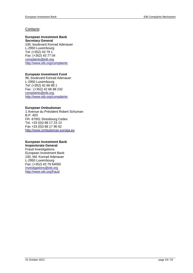#### Contacts:

#### **European Investment Bank Secretary General**

100, boulevard Konrad Adenauer L-2950 Luxembourg Tel: (+352) 43 79 1 Fax: (+352) 43 77 04 [complaints@eib.org](mailto:complaints@eib.org) <http://www.eib.org/complaints>

#### **European Investment Fund**

96, boulevard Konrad Adenauer L-2950 Luxembourg Tel: (+352) 42 66 88 1 Fax : (+352) 42 66 88 232 [complaints@eib.org](mailto:complaints@eib.org) <http://www.eib.org/complaints>

#### **European Ombudsman**

1 Avenue du Président Robert Schuman B.P. 403 FR- 67001 Strasbourg Cedex Tel. +33 (0)3 88 17 23 13 Fax +33 (0)3 88 17 90 62 [http://www.ombudsman.europa.eu](http://www.ombudsman.europa.eu/)

## **European Investment Bank**

**Inspectorate General** Fraud Investigations European Investment Bank 100, bld. Konrad Adenauer L-2950 Luxembourg Fax: (+352) 43 79 64000 [investigations@eib.org](mailto:investigations@eib.org) <http://www.eib.org/fraud>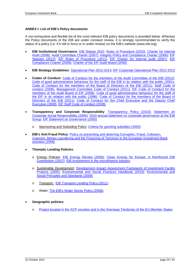#### <span id="page-21-0"></span>**ANNEX I: List of EIB's Policy documents**

A non-exhaustive and flexible list of the most relevant EIB policy documents is provided below. Whereas the Policy documents of the EIB are under constant review, it is strongly recommended to verify the status of a policy (i.e. if it still in force or is under review) on the EIB's website (www.eib.org):

- **EIB Institutional Governance**: [EIB Statute 2010,](http://www.eib.org/about/publications/statute.htm) [Rules of Procedure \(2010\),](http://www.eib.org/about/publications/rules-of-procedure.htm) [Charter for internal](http://www.eib.org/about/publications/charter-for-internal-audit.htm)  [Audit \(2008\),](http://www.eib.org/about/publications/charter-for-internal-audit.htm) [Audit Committee Charter \(2007\),](http://www.eib.org/about/publications/audit-committee-charter.htm) [Integrity Policy and Compliance Charter \(2006\);](http://www.eib.org/about/publications/integrity-policy-and-compliance-charter.htm) [EIF](http://www.eif.org/news_centre/publications/statutes.htm)  [Statutes \(2012\),](http://www.eif.org/news_centre/publications/statutes.htm) [EIF Rules of Procedure \(2011\),](http://www.eif.org/news_centre/publications/rules-of-procedure.htm) [EIF Charter for internal audit \(2007\),](http://www.eif.org/news_centre/publications/charter-for-internal-audit.htm) [EIF](http://www.eif.org/news_centre/publications/compliance-charter.htm)  [Compliance Charter \(2009\),](http://www.eif.org/news_centre/publications/compliance-charter.htm) [Charter of the EIF Audit Board \(2006\)](http://www.eif.org/news_centre/publications/audit-board-charter.htm)
- **EIB Strategy Guidelines**: [Operational Plan 2012-2014;](http://www.eib.org/about/publications/operational-plan-2012-2014.htm) [EIF Corporate Operational Plan 2012-2013](http://www.eif.org/news_centre/publications/corporate-operational-plan-2012-2013.htm)
- **Codes of Conduct**: [Code of Conduct for the members of the Audit Committee of the EIB \(2012\);](http://www.eib.org/about/publications/code-of-conduct-for-the-members-of-the-audit-committee-of-the-eib.htm) Code of good administrative [behaviour for the staff of the EIB in its relation with the public \(2001\);](http://www.eib.org/about/publications/code-of-good-administrative-behaviour-for-the-staff-of-the-eib-in-its-relations-with-the-public.htm) [Code of Conduct for the members of the Board of Directors of the EIB \(2011\);](http://www.eib.org/about/publications/code-of-conduct-for-the-members-of-the-board-of-directors-of-the-eib.htm) [Staff Code of](http://www.eib.org/about/publications/staff-code-of-conduct.htm)  [conduct \(2006\),](http://www.eib.org/about/publications/staff-code-of-conduct.htm) [Management Committee Code of](http://www.eib.org/about/publications/management-committee-code-of-conduct.htm) Conduct (2011), [EIF Code of Conduct for the](http://www.eif.org/news_centre/publications/Code_of_Conduct_for_Members_of_the_Audit_Board.htm)  [members of the Audit Board of EIF \(2006\),](http://www.eif.org/news_centre/publications/Code_of_Conduct_for_Members_of_the_Audit_Board.htm) [Code of good administrative behaviour for the staff of](http://www.eif.org/news_centre/publications/code-of-good-administrative-behaviour-for-the-staff-of-the-eif.htm)  [the EIF in its relation with the public \(1996\),](http://www.eif.org/news_centre/publications/code-of-good-administrative-behaviour-for-the-staff-of-the-eif.htm) [Code of Conduct for the members of the Board of](http://www.eib.org/about/publications/code-of-conduct-for-the-members-of-the-board-of-directors-of-the-eib.htm)  [Directors of the EIB \(2011\),](http://www.eib.org/about/publications/code-of-conduct-for-the-members-of-the-board-of-directors-of-the-eib.htm) Code of Conduct for the Chief Executive and the Deputy Chief [Executive \(2008\),](http://www.eif.org/attachments/about/management/EIF_Codes_of_Conduct_for_CEO_and_DCEO.pdf) [EIF Staff Code of conduct \(2008\)](http://www.eif.org/news_centre/publications/staff-code-of-conduct.htm)
- **Transparency and Corporate Responsibility**: [Transparency Policy \(2010\);](http://www.eib.org/about/publications/eib-transparency-policy.htm) [Statement on](http://www.eib.org/about/publications/statement-on-corporate-social-responsibility.htm)  [Corporate Social Responsibility \(2005\);](http://www.eib.org/about/publications/statement-on-corporate-social-responsibility.htm) [2010 annual statement on corporate governance at the EIB](http://www.eib.org/about/publications/2010-annual-statement-on-corporate-governance.htm)  [Group,](http://www.eib.org/about/publications/2010-annual-statement-on-corporate-governance.htm) [EIF Statement on Governance \(2005\)](http://www.eif.org/news_centre/publications/statement-on-governance.htm)
	- o Sponsoring and Subsiding Policy: [Criteria for granting subsidies \(2005\)](http://www.eib.org/about/publications/sponsoring-and-subsidy-policy)
- **EIB's Anti-Fraud Policy**: [Policy on preventing and deterring Corruption, Fraud, Collusion,](http://www.eib.org/about/publications/anti-fraud-policy.htm)  [Coercion, Money Laundering and the Financing of Terrorism in the European Investment Bank](http://www.eib.org/about/publications/anti-fraud-policy.htm)  [activities \(2008\)](http://www.eib.org/about/publications/anti-fraud-policy.htm)
- **Thematic Lending Policies**:
	- o Energy Policies: [EIB Energy Review \(2006\);](http://www.eib.org/projects/publications/eib-energy-review.htm) [Clean Energy for Europe: A Reinforced EIB](http://www.eib.org/about/publications/clean-energy-for-europe.htm)  [Contribution \(2007\);](http://www.eib.org/about/publications/clean-energy-for-europe.htm) [EIB involvement in the microfinance industry.](http://www.eib.org/products/microfinance/initiatives/index.htm)
	- o Sustainable Development: [Development Impact Assessment Framework of Investment Facility](http://www.eib.org/projects/publications/development-impact-assessment-framework-of-if-projects.htm)  [Projects \(2005\),](http://www.eib.org/projects/publications/development-impact-assessment-framework-of-if-projects.htm) [Environmental and Social Practices Handbook \(2010\);](http://www.eib.org/about/publications/environmental-and-social-practices-handbook.htm) [Environmental and](http://www.eib.org/about/publications/environmental-and-social-principles-and-standards.htm)  [Social Principles and Standards \(2009\)](http://www.eib.org/about/publications/environmental-and-social-principles-and-standards.htm)
	- o Transport : [EIB Transport Lending Policy \(2011\);](http://www.eib.org/projects/publications/eib-transport-lending-policy.htm)
	- o Water: [The EIB's Water Sector Policy \(2008\);](http://www.eib.org/projects/publications/eib-s-water-sector-lending-policy.htm)
- **Geographic policies:**
	- o [Project located in the ACP counties and in the Overseas Territories of the EU Member States](http://www.eib.org/projects/loans/regions/acp/ac.htm)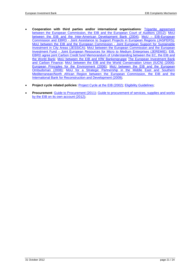- **Cooperation with third parties and/or international organisations**: [Tripartite agreement](http://www.eib.org/projects/publications/tripartite-agreement.htm)  [between the European Commission, the EIB and the European Court of Auditors \(2012\);](http://www.eib.org/projects/publications/tripartite-agreement.htm) [MoU](http://www.eib.org/projects/publications/memorandum-of-understanding-between-the-eib-and-the-idb2.htm)  [between the EIB and the Inter-American Development Bank \(2004\);](http://www.eib.org/projects/publications/memorandum-of-understanding-between-the-eib-and-the-idb2.htm) MoU - EIB-European Commission and EBRD - [Joint Assistance to Support Projects in European Regions \(JASPERS\);](http://www.eib.org/about/publications/mou-jaspers) [MoU between the EIB and the European Commission -](http://ec.europa.eu/regional_policy/archive/funds/2007/jjj/doc/pdf/urban_mou_signed.pdf) Joint European Support for Sustainable [Investment in City Areas \(JESSICA\);](http://ec.europa.eu/regional_policy/archive/funds/2007/jjj/doc/pdf/urban_mou_signed.pdf) [MoU between the European Commission and the European](http://www.eib.org/about/publications/mou-jeremie.htm)  Investment Fund – [Joint European Resources for Micro to Medium Enterprises \(JEREMIE\);](http://www.eib.org/about/publications/mou-jeremie.htm) [EIB,](http://www.eib.org/about/press/2006/2006-046-ebrd-and-eib-agree-joint-carbon-credit-fund.htm)  [EBRD agree joint Carbon Credit fund](http://www.eib.org/about/press/2006/2006-046-ebrd-and-eib-agree-joint-carbon-credit-fund.htm) [Memorandum of Understanding between the EC, the EIB and](http://www.eib.org/about/publications/memorandum-of-understanding-between-the-ec-the-eib-and-the-world-bank.htm)  [the World Bank;](http://www.eib.org/about/publications/memorandum-of-understanding-between-the-ec-the-eib-and-the-world-bank.htm) [MoU between the EIB and KfW Bankengruppe](http://www.eib.org/about/press/2009/2009-066-eib-and-kfw-to-continue-support-for-european-economy.htm) [The European Investment Bank](http://www.eib.org/projects/topics/environment/climate-action/carbon-finance/index.htm)  [and Carbon Finance;](http://www.eib.org/projects/topics/environment/climate-action/carbon-finance/index.htm) [MoU between the EIB and the World Conservation Union \(IUCN\) \(2006\);](http://www.eib.org/about/publications/mou-between-the-eib-and-the-world-conservation-union.htm) [European Principles for the Environment \(2006\);](http://www.eib.org/projects/topics/environment/epe/index.htm) [MoU between the EIB and the European](http://www.eib.org/about/publications/memorandum-of-understanding-between-the-eo-and-the-eib.htm)  [Ombudsman \(2008\);](http://www.eib.org/about/publications/memorandum-of-understanding-between-the-eo-and-the-eib.htm) [MoU for a Strategic Partnership in the Middle East and Southern](http://www.eib.org/about/publications/mou-strategic-partnership.htm)  [Mediterranean/North African Region between the European Commission, the EIB and the](http://www.eib.org/about/publications/mou-strategic-partnership.htm)  [International Bank for Reconstruction and Development \(2009\);](http://www.eib.org/about/publications/mou-strategic-partnership.htm)
- **Project cycle related policies**: [Project Cycle at the EIB \(2002\);](http://www.eib.org/projects/publications/project-cycle.htm) [Eligibility Guidelines;](http://www.eib.org/projects/cycle/appraisal/project-appraisal-eligibility.htm)
- **Procurement**: [Guide to Procurement \(2011\);](http://www.eib.org/projects/publications/guide-to-procurement.htm) [Guide to procurement of services, supplies and works](http://www.eib.org/projects/publications/guide-for-procurement-of-services-supplies-and-works-by-the-eib-for-its-own-account.htm)  [by the EIB on its own account \(2012\);](http://www.eib.org/projects/publications/guide-for-procurement-of-services-supplies-and-works-by-the-eib-for-its-own-account.htm)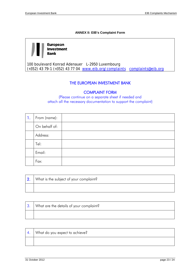#### **ANNEX II: EIB's Complaint Form**

<span id="page-24-0"></span>**European** Investment **Bank** 

100 boulevard Konrad Adenauer L-2950 Luxembourg (+352) 43 79-1 (+352) 43 77 04 [www.eib.org/complaints](http://www.eib.org/complaints) [complaints@eib.org](mailto:complaints@eib.org)

## THE EUROPEAN INVESTMENT BANK

## COMPLAINT FORM

(Please continue on a separate sheet if needed and attach all the necessary documentation to support the complaint)

| $\blacksquare$ | From (name):  |  |
|----------------|---------------|--|
|                | On behalf of: |  |
|                | Address:      |  |
|                | Tel:          |  |
|                | Email:        |  |
|                | Fax:          |  |

| 2. What is the subject of your complaint? |  |  |
|-------------------------------------------|--|--|
|                                           |  |  |

| 3. What are the details of your complaint? |  |  |
|--------------------------------------------|--|--|
|                                            |  |  |

| What do you expect to achieve? |  |  |
|--------------------------------|--|--|
|                                |  |  |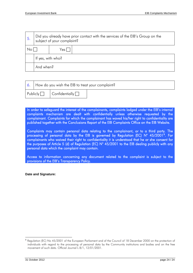| -5. | Did you already have prior contact with the services of the EIB's Group on the<br>subject of your complaint? |       |  |
|-----|--------------------------------------------------------------------------------------------------------------|-------|--|
| No  |                                                                                                              | Yes I |  |
|     | If yes, with who?                                                                                            |       |  |
|     | And when?                                                                                                    |       |  |

|  | $\vert$ 6. How do you wish the EIB to treat your complaint? |                                      |  |
|--|-------------------------------------------------------------|--------------------------------------|--|
|  |                                                             | Publicly $\Box$ $\Box$ $\Box$ $\Box$ |  |

In order to safeguard the interest of the complainants, complaints lodged under the EIB's internal complaints mechanism are dealt with confidentially unless otherwise requested by the complainant. Complaints for which the complainant has waved his/her right to confidentiality are published together with the Conclusions Report of the EIB Complaints Office on the EIB Website.

Complaints may contain personal data relating to the complainant, or to a third party. The processing of personal data by the EIB is governed by Regulation (EC) N° 45/2001<sup>[8](#page-18-6)</sup>. For complainants who waived their right to confidentiality it is understood that he or she consent for the purposes of Article 5 (d) of Regulation (EC) N° 45/2001 to the EIB dealing publicly with any personal data which the complaint may contain.

Access to information concerning any document related to the complaint is subject to the provisions of the EIB's Transparency Policy.

**Date and Signature:**

-

<sup>&</sup>lt;sup>8</sup> Regulation (EC) No 45/2001 of the European Parliament and of the Council of 18 December 2000 on the protection of individuals with regard to the processing of personal data by the Community institutions and bodies and on the free movement of such data. Official Journal L 8/1, 12/01/2001.